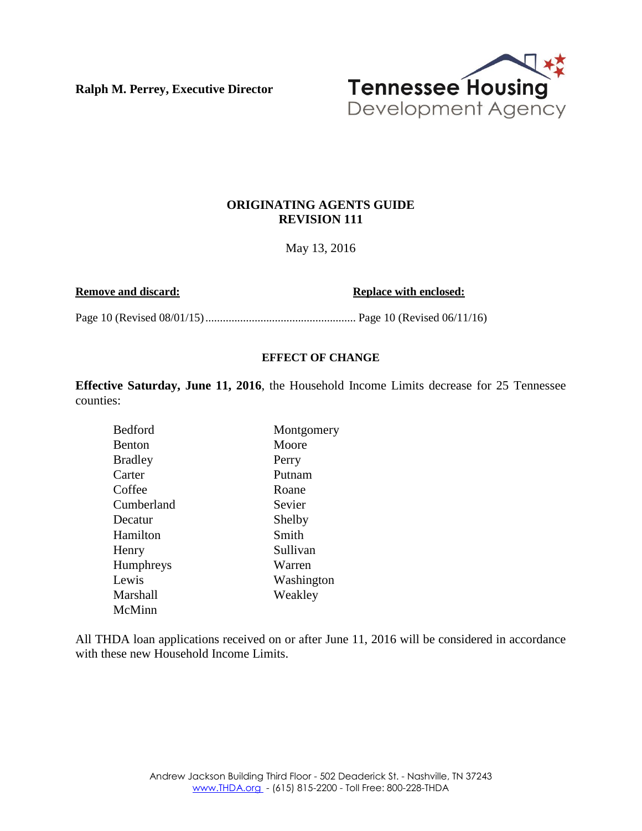**Ralph M. Perrey, Executive Director**



### **ORIGINATING AGENTS GUIDE REVISION 111**

May 13, 2016

**Remove and discard: Replace with enclosed: Replace with enclosed:** 

Page 10 (Revised 08/01/15).................................................... Page 10 (Revised 06/11/16)

#### **EFFECT OF CHANGE**

**Effective Saturday, June 11, 2016**, the Household Income Limits decrease for 25 Tennessee counties:

| <b>Bedford</b>   | Montgomery |
|------------------|------------|
| <b>Benton</b>    | Moore      |
| <b>Bradley</b>   | Perry      |
| Carter           | Putnam     |
| Coffee           | Roane      |
| Cumberland       | Sevier     |
| Decatur          | Shelby     |
| Hamilton         | Smith      |
| Henry            | Sullivan   |
| <b>Humphreys</b> | Warren     |
| Lewis            | Washington |
| Marshall         | Weakley    |
| McMinn           |            |

All THDA loan applications received on or after June 11, 2016 will be considered in accordance with these new Household Income Limits.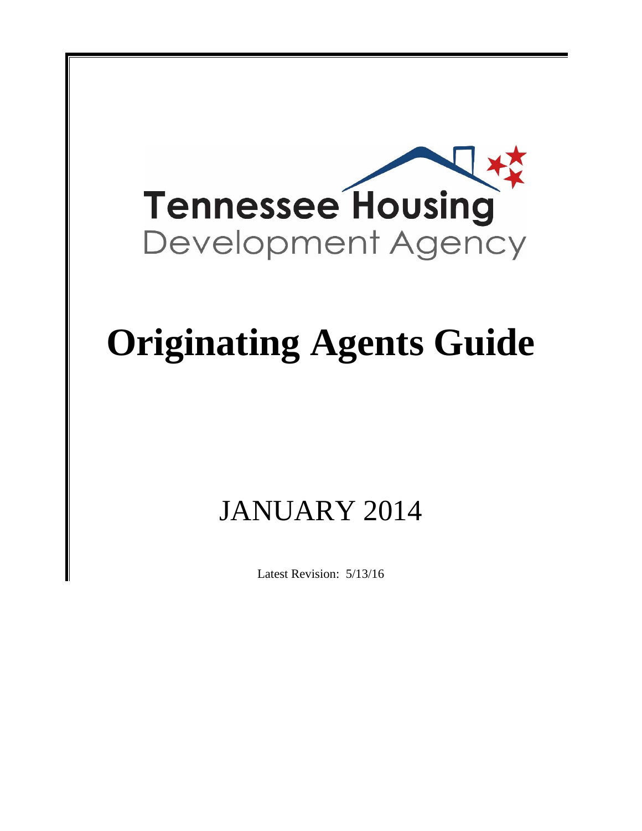

# **Originating Agents Guide**

## JANUARY 2014

Latest Revision: 5/13/16